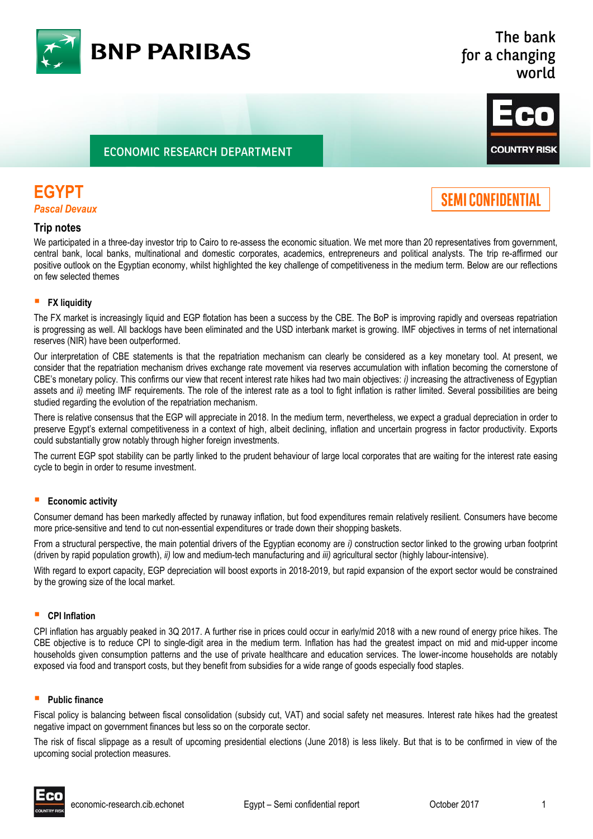

### The bank for a changing world

### **ECONOMIC RESEARCH DEPARTMENT**



# **EGYPT**

*Pascal Devaux*

# **SEMI CONFIDENTIAL**

### **Trip notes**

We participated in a three-day investor trip to Cairo to re-assess the economic situation. We met more than 20 representatives from government, central bank, local banks, multinational and domestic corporates, academics, entrepreneurs and political analysts. The trip re-affirmed our positive outlook on the Egyptian economy, whilst highlighted the key challenge of competitiveness in the medium term. Below are our reflections on few selected themes

### **FX liquidity**

The FX market is increasingly liquid and EGP flotation has been a success by the CBE. The BoP is improving rapidly and overseas repatriation is progressing as well. All backlogs have been eliminated and the USD interbank market is growing. IMF objectives in terms of net international reserves (NIR) have been outperformed.

Our interpretation of CBE statements is that the repatriation mechanism can clearly be considered as a key monetary tool. At present, we consider that the repatriation mechanism drives exchange rate movement via reserves accumulation with inflation becoming the cornerstone of CBE's monetary policy. This confirms our view that recent interest rate hikes had two main objectives: *i)* increasing the attractiveness of Egyptian assets and *ii)* meeting IMF requirements. The role of the interest rate as a tool to fight inflation is rather limited. Several possibilities are being studied regarding the evolution of the repatriation mechanism.

There is relative consensus that the EGP will appreciate in 2018. In the medium term, nevertheless, we expect a gradual depreciation in order to preserve Egypt's external competitiveness in a context of high, albeit declining, inflation and uncertain progress in factor productivity. Exports could substantially grow notably through higher foreign investments.

The current EGP spot stability can be partly linked to the prudent behaviour of large local corporates that are waiting for the interest rate easing cycle to begin in order to resume investment.

### **Economic activity**

Consumer demand has been markedly affected by runaway inflation, but food expenditures remain relatively resilient. Consumers have become more price-sensitive and tend to cut non-essential expenditures or trade down their shopping baskets.

From a structural perspective, the main potential drivers of the Egyptian economy are *i)* construction sector linked to the growing urban footprint (driven by rapid population growth), *ii)* low and medium-tech manufacturing and *iii)* agricultural sector (highly labour-intensive).

With regard to export capacity, EGP depreciation will boost exports in 2018-2019, but rapid expansion of the export sector would be constrained by the growing size of the local market.

### **CPI Inflation**

CPI inflation has arguably peaked in 3Q 2017. A further rise in prices could occur in early/mid 2018 with a new round of energy price hikes. The CBE objective is to reduce CPI to single-digit area in the medium term. Inflation has had the greatest impact on mid and mid-upper income households given consumption patterns and the use of private healthcare and education services. The lower-income households are notably exposed via food and transport costs, but they benefit from subsidies for a wide range of goods especially food staples.

### **Public finance**

Fiscal policy is balancing between fiscal consolidation (subsidy cut, VAT) and social safety net measures. Interest rate hikes had the greatest negative impact on government finances but less so on the corporate sector.

The risk of fiscal slippage as a result of upcoming presidential elections (June 2018) is less likely. But that is to be confirmed in view of the upcoming social protection measures.

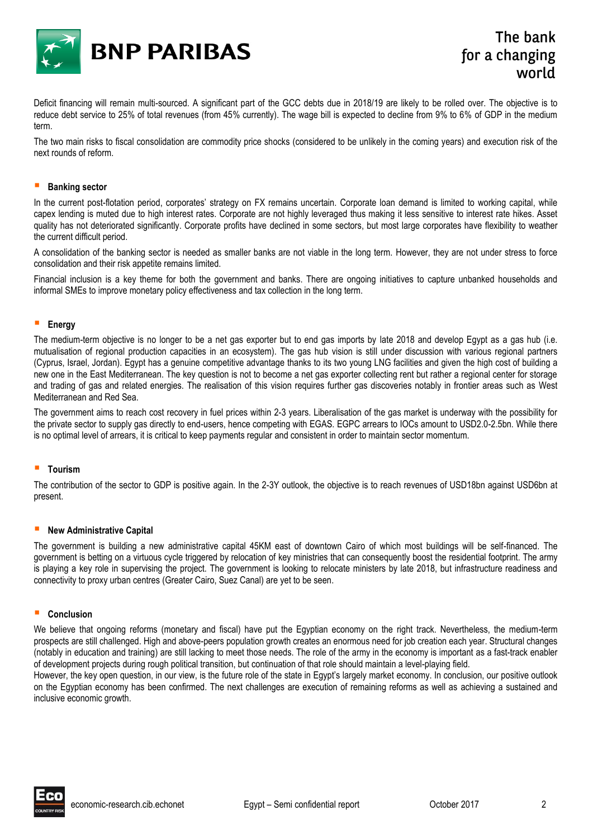

Deficit financing will remain multi-sourced. A significant part of the GCC debts due in 2018/19 are likely to be rolled over. The objective is to reduce debt service to 25% of total revenues (from 45% currently). The wage bill is expected to decline from 9% to 6% of GDP in the medium term.

The two main risks to fiscal consolidation are commodity price shocks (considered to be unlikely in the coming years) and execution risk of the next rounds of reform.

#### **Banking sector**

In the current post-flotation period, corporates' strategy on FX remains uncertain. Corporate loan demand is limited to working capital, while capex lending is muted due to high interest rates. Corporate are not highly leveraged thus making it less sensitive to interest rate hikes. Asset quality has not deteriorated significantly. Corporate profits have declined in some sectors, but most large corporates have flexibility to weather the current difficult period.

A consolidation of the banking sector is needed as smaller banks are not viable in the long term. However, they are not under stress to force consolidation and their risk appetite remains limited.

Financial inclusion is a key theme for both the government and banks. There are ongoing initiatives to capture unbanked households and informal SMEs to improve monetary policy effectiveness and tax collection in the long term.

#### **Energy**

The medium-term objective is no longer to be a net gas exporter but to end gas imports by late 2018 and develop Egypt as a gas hub (i.e. mutualisation of regional production capacities in an ecosystem). The gas hub vision is still under discussion with various regional partners (Cyprus, Israel, Jordan). Egypt has a genuine competitive advantage thanks to its two young LNG facilities and given the high cost of building a new one in the East Mediterranean. The key question is not to become a net gas exporter collecting rent but rather a regional center for storage and trading of gas and related energies. The realisation of this vision requires further gas discoveries notably in frontier areas such as West Mediterranean and Red Sea.

The government aims to reach cost recovery in fuel prices within 2-3 years. Liberalisation of the gas market is underway with the possibility for the private sector to supply gas directly to end-users, hence competing with EGAS. EGPC arrears to IOCs amount to USD2.0-2.5bn. While there is no optimal level of arrears, it is critical to keep payments regular and consistent in order to maintain sector momentum.

### **Tourism**

The contribution of the sector to GDP is positive again. In the 2-3Y outlook, the objective is to reach revenues of USD18bn against USD6bn at present.

### **New Administrative Capital**

The government is building a new administrative capital 45KM east of downtown Cairo of which most buildings will be self-financed. The government is betting on a virtuous cycle triggered by relocation of key ministries that can consequently boost the residential footprint. The army is playing a key role in supervising the project. The government is looking to relocate ministers by late 2018, but infrastructure readiness and connectivity to proxy urban centres (Greater Cairo, Suez Canal) are yet to be seen.

#### **Conclusion**

We believe that ongoing reforms (monetary and fiscal) have put the Egyptian economy on the right track. Nevertheless, the medium-term prospects are still challenged. High and above-peers population growth creates an enormous need for job creation each year. Structural changes (notably in education and training) are still lacking to meet those needs. The role of the army in the economy is important as a fast-track enabler of development projects during rough political transition, but continuation of that role should maintain a level-playing field.

However, the key open question, in our view, is the future role of the state in Egypt's largely market economy. In conclusion, our positive outlook on the Egyptian economy has been confirmed. The next challenges are execution of remaining reforms as well as achieving a sustained and inclusive economic growth.

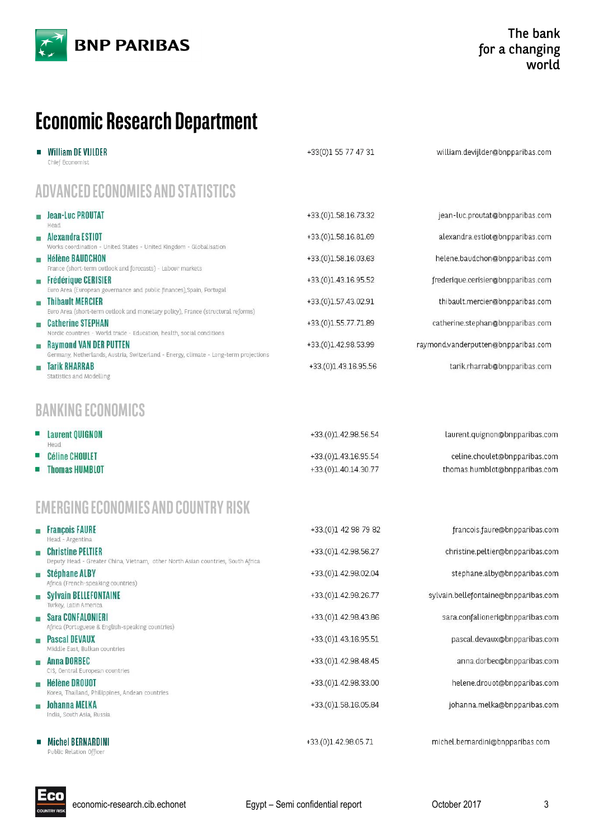

# **Economic Research Department**

|                                   | <b>William DE VIJLDER</b><br>Chief Economist                                                                          | +33(0)1 55 77 47 31                          | william.devijlder@bnpparibas.com                               |
|-----------------------------------|-----------------------------------------------------------------------------------------------------------------------|----------------------------------------------|----------------------------------------------------------------|
| ADVANCED ECONOMIES AND STATISTICS |                                                                                                                       |                                              |                                                                |
|                                   | <b>BEDITE: Jean-Luc PROUTAT</b><br>Head                                                                               | +33.(0)1.58.16.73.32                         | jean-luc.proutat@bnpparibas.com                                |
| u.                                | <b>Alexandra ESTIOT</b><br>Works coordination - United States - United Kingdom - Globalisation                        | +33.(0)1.58.16.81.69                         | alexandra.estiot@bnpparibas.com                                |
| 隆                                 | <b>Hélène BAUDCHON</b><br>France (short-term outlook and forecasts) - Labour markets                                  | +33.(0)1.58.16.03.63                         | helene.baudchon@bnpparibas.com                                 |
|                                   | Frédérique CERISIER<br>Euro Area (European governance and public finances), Spain, Portugal                           | +33.(0)1.43.16.95.52                         | frederique.cerisier@bnpparibas.com                             |
|                                   | <b>Thibault MERCIER</b><br>Euro Area (short-term outlook and monetary policy), France (structural reforms)            | +33.(0)1.57.43.02.91                         | thibault.mercier@bnpparibas.com                                |
| m.                                | <b>Catherine STEPHAN</b><br>Nordic countries - World trade - Education, health, social conditions                     | +33.(0)1.55.77.71.89                         | catherine.stephan@bnpparibas.com                               |
| i.                                | <b>Raymond VAN DER PUTTEN</b><br>Germany, Netherlands, Austria, Switzerland - Energy, climate - Long-term projections | +33.(0)1.42.98.53.99                         | raymond.vanderputten@bnpparibas.com                            |
| a.                                | <b>Tarik RHARRAB</b><br>Statistics and Modelling                                                                      | +33.(0)1.43.16.95.56                         | tarik.rharrab@bnpparibas.com                                   |
|                                   | <b>BANKING ECONOMICS</b>                                                                                              |                                              |                                                                |
| ш                                 | <b>Laurent QUIGNON</b><br>Head                                                                                        | +33.(0)1.42.98.56.54                         | laurent.quignon@bnpparibas.com                                 |
| п,<br>٠                           | <b>Céline CHOULET</b><br><b>Thomas HUMBLOT</b>                                                                        | +33.(0)1.43.16.95.54<br>+33.(0)1.40.14.30.77 | celine.choulet@bnpparibas.com<br>thomas.humblot@bnpparibas.com |
|                                   |                                                                                                                       |                                              |                                                                |
|                                   | <b>EMERGING ECONOMIES AND COUNTRY RISK</b>                                                                            |                                              |                                                                |
| a.                                | <b>François FAURE</b><br>Head - Argentina                                                                             | +33.(0)1 42 98 79 82                         | francois.faure@bnpparibas.com                                  |
| a                                 | <b>Christine PELTIER</b><br>Deputy Head - Greater China, Vietnam, other North Asian countries, South Africa           | +33.(0)1.42.98.56.27                         | christine.peltier@bnpparibas.com                               |
| ш                                 | Stéphane ALBY<br>Africa (French-speaking countries)                                                                   | +33.(0)1.42.98.02.04                         | stephane.alby@bnpparibas.com                                   |
| u.                                | <b>Sylvain BELLEFONTAINE</b><br>Turkey, Latin America                                                                 | +33.(0)1.42.98.26.77                         | sylvain.bellefontaine@bnpparibas.com                           |
|                                   | <b>Sara CONFALONIERI</b><br>Africa (Portuguese & English-speaking countries)                                          | +33.(0)1.42.98.43.86                         | sara.confalioneri@bnpparibas.com                               |
| œ,                                | <b>Pascal DEVAUX</b><br>Middle East, Balkan countries                                                                 | +33.(0)1.43.16.95.51                         | pascal.devaux@bnpparibas.com                                   |
| m                                 | <b>Anna DORBEC</b><br>CIS, Central European countries                                                                 | +33.(0)1.42.98.48.45                         | anna.dorbec@bnpparibas.com                                     |
| a.                                | Hélène DROUOT                                                                                                         | +33.(0)1.42.98.33.00                         | helene.drouot@bnpparibas.com                                   |
| a.                                | Korea, Thailand, Philippines, Andean countries<br>Johanna MELKA<br>India, South Asia, Russia                          | +33.(0)1.58.16.05.84                         | johanna.melka@bnpparibas.com                                   |
| ×.                                | <b>Michel BERNARDINI</b><br>Public Relation Officer                                                                   | +33.(0)1.42.98.05.71                         | michel.bernardini@bnpparibas.com                               |